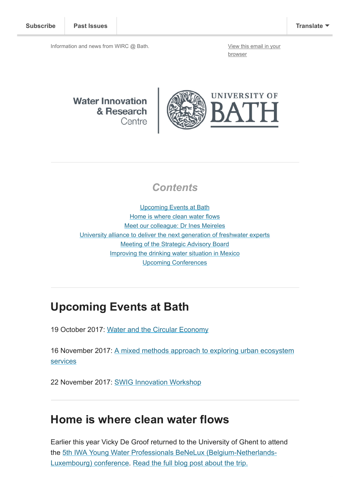Information and news from WIRC @ Bath. [View this email in your](http://mailchi.mp/d5347b75bb31/wircjuly2017-1142913?e=[UNIQID])

browser

**Water Innovation** & Research Centre



#### **Contents**

[Upcoming Events at Bath](#page-0-0) [Home is where clean water flows](#page-0-1) [Meet our colleague: Dr Ines Meireles](#page-1-0) [University alliance to deliver the next generation of freshwater experts](#page-1-1) [Meeting of the Strategic Advisory Board](#page-1-2) [Improving the drinking water situation in Mexico](#page-2-0) [Upcoming Conferences](#page-2-1)

### <span id="page-0-0"></span>Upcoming Events at Bath

19 October 2017: [Water and the Circular Economy](http://www.bath.ac.uk/research/centres/wirc/events/water_circular_economy.html)

[16 November 2017: A mixed methods approach to exploring urban ecosystem](http://www.bath.ac.uk/research/centres/wirc/events/mixed_methods_approach.html) services

22 November 2017: [SWIG Innovation Workshop](http://www.swig.org.uk/event/innovation-brokerage-workshop/)

### <span id="page-0-1"></span>Home is where clean water flows

Earlier this year Vicky De Groof returned to the University of Ghent to attend [the 5th IWA Young Water Professionals BeNeLux \(Belgium-Netherlands-](http://www.ywpbenelux.org/)Luxembourg) conference. [Read the full blog post about the trip.](http://blogs.bath.ac.uk/csct/2017/home-is-where-clean-water-flows/)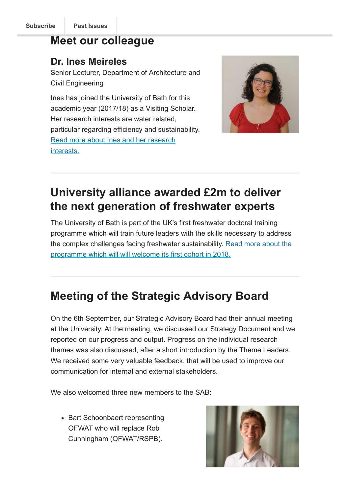## <span id="page-1-0"></span>Meet our colleague

#### Dr. Ines Meireles

Senior Lecturer, Department of Architecture and Civil Engineering

Ines has joined the University of Bath for this academic year (2017/18) as a Visiting Scholar. Her research interests are water related, particular regarding efficiency and sustainability. [Read more about Ines and her research](http://blogs.bath.ac.uk/water/2017/09/22/ines-meireles/) interests.



# <span id="page-1-1"></span>University alliance awarded £2m to deliver the next generation of freshwater experts

The University of Bath is part of the UK's first freshwater doctoral training programme which will train future leaders with the skills necessary to address [the complex challenges facing freshwater sustainability. Read more about the](http://www.bath.ac.uk/news/2017/10/04/university-alliance-awarded-2m-to-deliver-the-next-generation-of-freshwater-experts/) programme which will will welcome its first cohort in 2018.

# <span id="page-1-2"></span>Meeting of the Strategic Advisory Board

On the 6th September, our Strategic Advisory Board had their annual meeting at the University. At the meeting, we discussed our Strategy Document and we reported on our progress and output. Progress on the individual research themes was also discussed, after a short introduction by the Theme Leaders. We received some very valuable feedback, that will be used to improve our communication for internal and external stakeholders.

We also welcomed three new members to the SAB:

• Bart Schoonbaert representing OFWAT who will replace Rob Cunningham (OFWAT/RSPB).

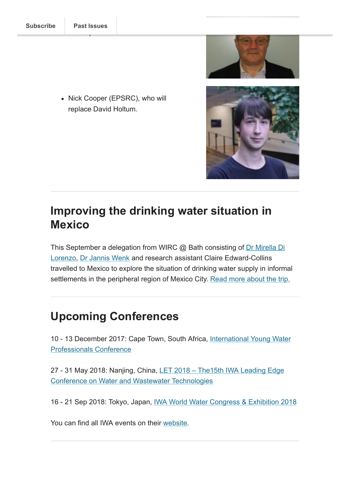• Nick Cooper (EPSRC), who will replace David Holtum.

<span id="page-2-0"></span>

[This September a delegation from WIRC @ Bath consisting of Dr Mirella Di](http://www.bath.ac.uk/chem-eng/people/di-lorenzo/) Lorenzo, [Dr Jannis Wenk](http://www.bath.ac.uk/chem-eng/people/wenk/) and research assistant Claire Edward-Collins travelled to Mexico to explore the situation of drinking water supply in informal settlements in the peripheral region of Mexico City. [Read more about the trip.](http://blogs.bath.ac.uk/water/2017/10/11/improving-the-drinking-water/)

## <span id="page-2-1"></span>Upcoming Conferences

[10 - 13 December 2017: Cape Town, South Africa, International Young Water](http://iwaywpconference.org/) Professionals Conference

27 - 31 May 2018: [Nanjing, China, LET 2018 – The15th IWA Leading Edge](http://www.iwa-network.org/events/15th-iwa-leading-edge-conference-on-water-and-wastewater-technologies/) Conference on Water and Wastewater Technologies

16 - 21 Sep 2018: Tokyo, Japan, [IWA World Water Congress & Exhibition 2018](http://www.iwa-network.org/events/iwa-world-water-congress-exhibition-2018/)

You can find all IWA events on their [website](http://www.iwa-network.org/all-events/).